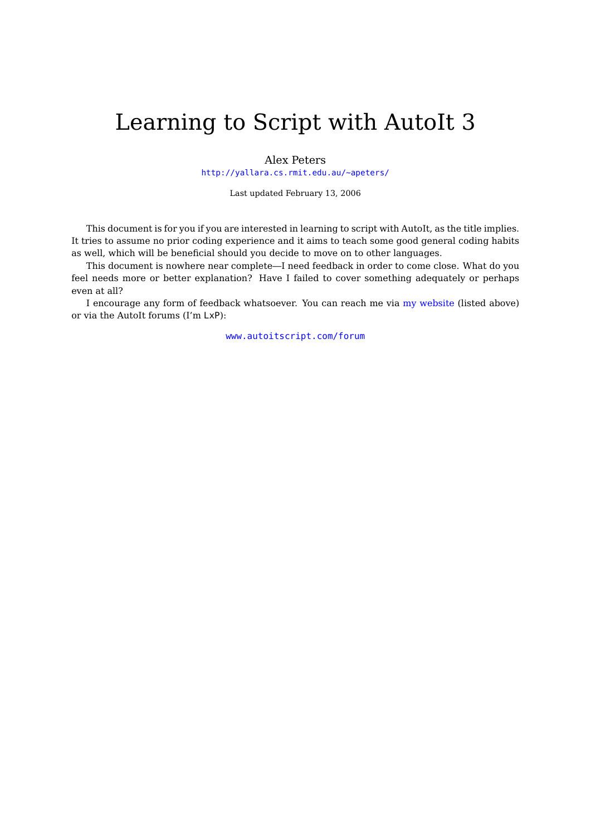# Learning to Script with AutoIt 3

Alex Peters <http://yallara.cs.rmit.edu.au/~apeters/>

Last updated February 13, 2006

This document is for you if you are interested in learning to script with AutoIt, as the title implies. It tries to assume no prior coding experience and it aims to teach some good general coding habits as well, which will be beneficial should you decide to move on to other languages.

This document is nowhere near complete—I need feedback in order to come close. What do you feel needs more or better explanation? Have I failed to cover something adequately or perhaps even at all?

I encourage any form of feedback whatsoever. You can reach me via [my website](http://yallara.cs.rmit.edu.au/~apeters/) (listed above) or via the AutoIt forums (I'm LxP):

[www.autoitscript.com/forum](http://www.autoitscript.com/forum/)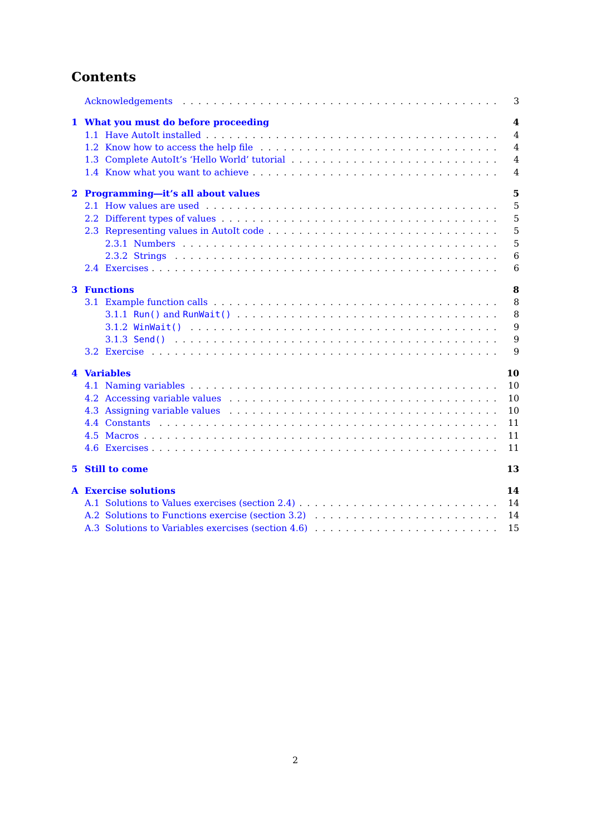# **Contents**

|    |                                                    | 3              |
|----|----------------------------------------------------|----------------|
|    | 1 What you must do before proceeding               | 4<br>4         |
|    |                                                    | $\overline{4}$ |
|    |                                                    | $\overline{4}$ |
|    |                                                    | $\overline{4}$ |
|    | 2 Programming-it's all about values                | 5              |
|    |                                                    | 5              |
|    |                                                    | 5              |
|    |                                                    | 5              |
|    |                                                    | 5              |
|    |                                                    | 6              |
|    |                                                    | 6              |
|    | <b>3</b> Functions                                 | 8              |
|    |                                                    | 8              |
|    |                                                    | 8              |
|    |                                                    | 9              |
|    |                                                    | 9              |
|    |                                                    | 9              |
|    | 4 Variables                                        | 10             |
|    |                                                    | 10             |
|    |                                                    | 10             |
|    |                                                    | 10             |
|    |                                                    | 11             |
|    |                                                    | 11             |
|    |                                                    | 11             |
| 5. | <b>Still to come</b>                               | 13             |
|    | <b>A</b> Exercise solutions                        | 14             |
|    |                                                    | 14             |
|    |                                                    | 14             |
|    | A.3 Solutions to Variables exercises (section 4.6) | 15             |
|    |                                                    |                |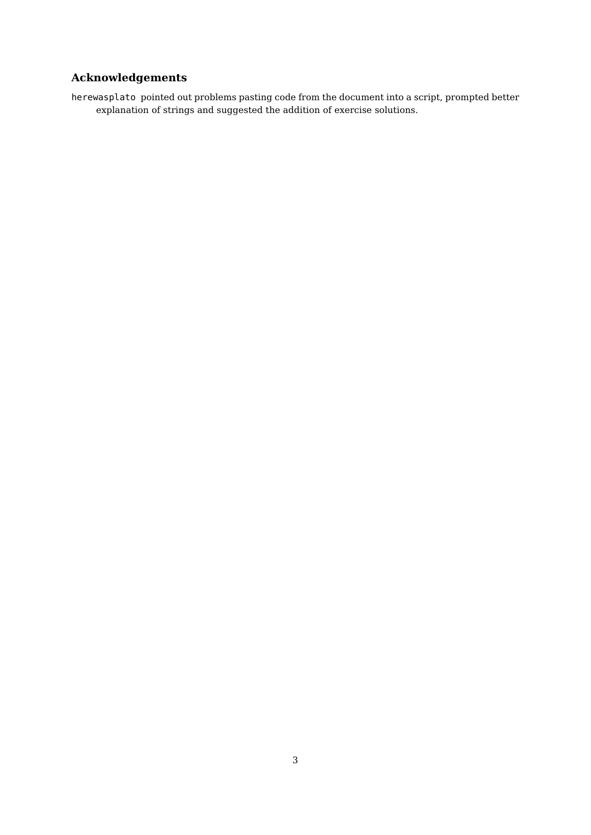# **Acknowledgements**

<span id="page-2-0"></span>herewasplato pointed out problems pasting code from the document into a script, prompted better explanation of strings and suggested the addition of exercise solutions.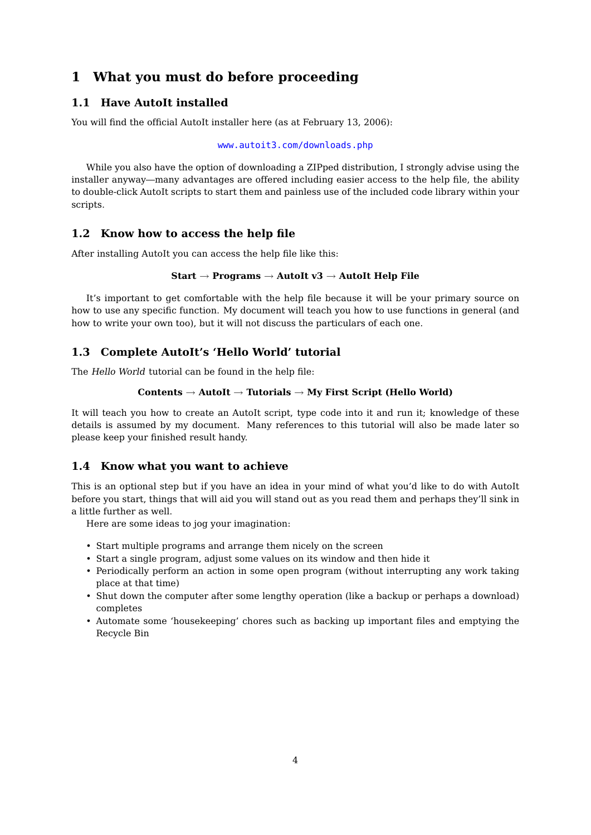# <span id="page-3-0"></span>**1 What you must do before proceeding**

# <span id="page-3-1"></span>**1.1 Have AutoIt installed**

You will find the official AutoIt installer here (as at February 13, 2006):

[www.autoit3.com/downloads.php](http://www.autoit3.com/downloads.php)

While you also have the option of downloading a ZIPped distribution, I strongly advise using the installer anyway—many advantages are offered including easier access to the help file, the ability to double-click AutoIt scripts to start them and painless use of the included code library within your scripts.

### <span id="page-3-2"></span>**1.2 Know how to access the help file**

After installing AutoIt you can access the help file like this:

```
Start → Programs → AutoIt v3 → AutoIt Help File
```
It's important to get comfortable with the help file because it will be your primary source on how to use any specific function. My document will teach you how to use functions in general (and how to write your own too), but it will not discuss the particulars of each one.

# <span id="page-3-3"></span>**1.3 Complete AutoIt's 'Hello World' tutorial**

The Hello World tutorial can be found in the help file:

#### **Contents** → **AutoIt** → **Tutorials** → **My First Script (Hello World)**

It will teach you how to create an AutoIt script, type code into it and run it; knowledge of these details is assumed by my document. Many references to this tutorial will also be made later so please keep your finished result handy.

### <span id="page-3-4"></span>**1.4 Know what you want to achieve**

This is an optional step but if you have an idea in your mind of what you'd like to do with AutoIt before you start, things that will aid you will stand out as you read them and perhaps they'll sink in a little further as well.

Here are some ideas to jog your imagination:

- Start multiple programs and arrange them nicely on the screen
- Start a single program, adjust some values on its window and then hide it
- Periodically perform an action in some open program (without interrupting any work taking place at that time)
- Shut down the computer after some lengthy operation (like a backup or perhaps a download) completes
- Automate some 'housekeeping' chores such as backing up important files and emptying the Recycle Bin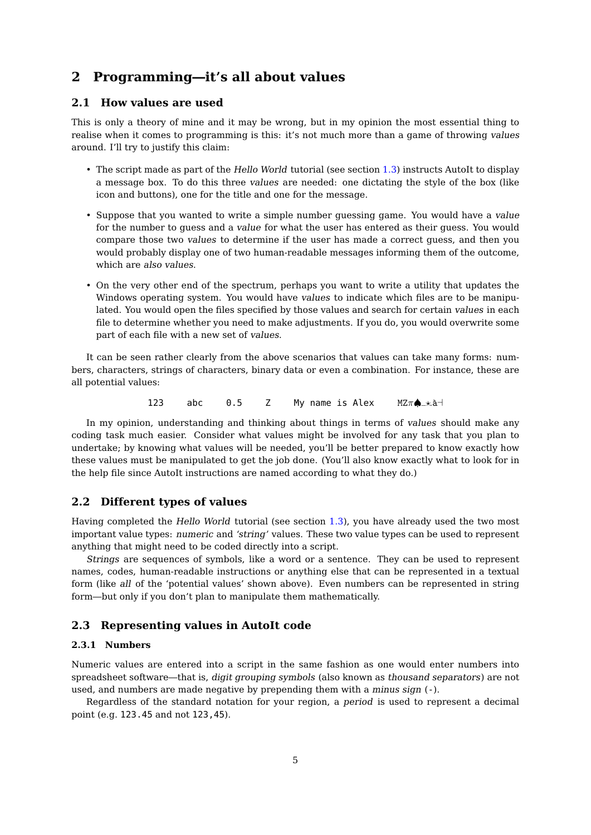# <span id="page-4-0"></span>**2 Programming—it's all about values**

### <span id="page-4-1"></span>**2.1 How values are used**

This is only a theory of mine and it may be wrong, but in my opinion the most essential thing to realise when it comes to programming is this: it's not much more than a game of throwing values around. I'll try to justify this claim:

- The script made as part of the Hello World tutorial (see section [1.3\)](#page-3-3) instructs AutoIt to display a message box. To do this three values are needed: one dictating the style of the box (like icon and buttons), one for the title and one for the message.
- Suppose that you wanted to write a simple number guessing game. You would have a value for the number to guess and a value for what the user has entered as their guess. You would compare those two values to determine if the user has made a correct guess, and then you would probably display one of two human-readable messages informing them of the outcome, which are also values.
- On the very other end of the spectrum, perhaps you want to write a utility that updates the Windows operating system. You would have values to indicate which files are to be manipulated. You would open the files specified by those values and search for certain values in each file to determine whether you need to make adjustments. If you do, you would overwrite some part of each file with a new set of values.

It can be seen rather clearly from the above scenarios that values can take many forms: numbers, characters, strings of characters, binary data or even a combination. For instance, these are all potential values:

123 abc 0.5 Z My name is Alex  $MZ\pi\spadesuit_{-\star}$ à-

In my opinion, understanding and thinking about things in terms of values should make any coding task much easier. Consider what values might be involved for any task that you plan to undertake; by knowing what values will be needed, you'll be better prepared to know exactly how these values must be manipulated to get the job done. (You'll also know exactly what to look for in the help file since AutoIt instructions are named according to what they do.)

#### <span id="page-4-2"></span>**2.2 Different types of values**

Having completed the Hello World tutorial (see section [1.3\)](#page-3-3), you have already used the two most important value types: numeric and 'string' values. These two value types can be used to represent anything that might need to be coded directly into a script.

Strings are sequences of symbols, like a word or a sentence. They can be used to represent names, codes, human-readable instructions or anything else that can be represented in a textual form (like all of the 'potential values' shown above). Even numbers can be represented in string form—but only if you don't plan to manipulate them mathematically.

### <span id="page-4-3"></span>**2.3 Representing values in AutoIt code**

#### <span id="page-4-4"></span>**2.3.1 Numbers**

Numeric values are entered into a script in the same fashion as one would enter numbers into spreadsheet software—that is, digit grouping symbols (also known as thousand separators) are not used, and numbers are made negative by prepending them with a minus sign (-).

Regardless of the standard notation for your region, a period is used to represent a decimal point (e.g. 123.45 and not 123,45).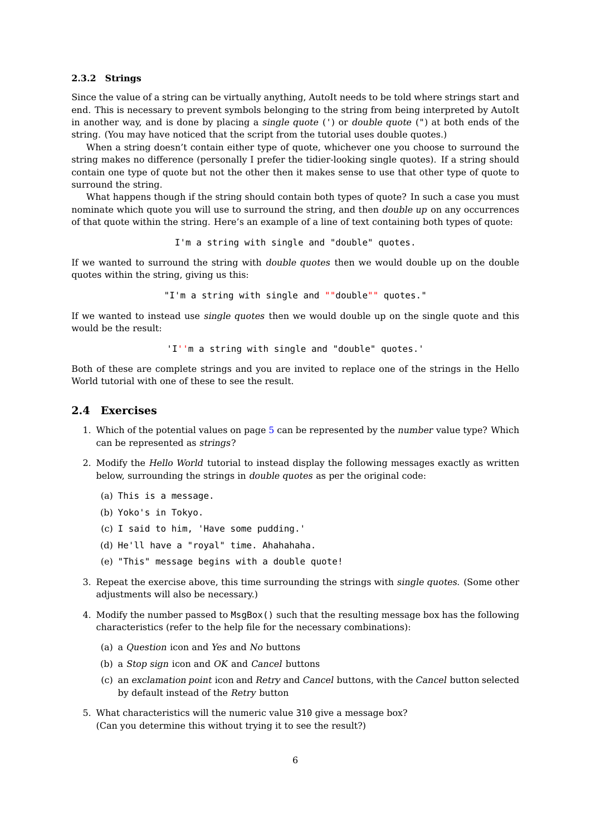#### <span id="page-5-0"></span>**2.3.2 Strings**

Since the value of a string can be virtually anything. AutoIt needs to be told where strings start and end. This is necessary to prevent symbols belonging to the string from being interpreted by AutoIt in another way, and is done by placing a single quote (') or double quote (") at both ends of the string. (You may have noticed that the script from the tutorial uses double quotes.)

When a string doesn't contain either type of quote, whichever one you choose to surround the string makes no difference (personally I prefer the tidier-looking single quotes). If a string should contain one type of quote but not the other then it makes sense to use that other type of quote to surround the string.

What happens though if the string should contain both types of quote? In such a case you must nominate which quote you will use to surround the string, and then double up on any occurrences of that quote within the string. Here's an example of a line of text containing both types of quote:

I'm a string with single and "double" quotes.

If we wanted to surround the string with double quotes then we would double up on the double quotes within the string, giving us this:

"I'm a string with single and ""double"" quotes."

If we wanted to instead use single quotes then we would double up on the single quote and this would be the result:

'I''m a string with single and "double" quotes.'

Both of these are complete strings and you are invited to replace one of the strings in the Hello World tutorial with one of these to see the result.

#### <span id="page-5-1"></span>**2.4 Exercises**

- 1. Which of the potential values on page [5](#page-4-1) can be represented by the number value type? Which can be represented as strings?
- 2. Modify the Hello World tutorial to instead display the following messages exactly as written below, surrounding the strings in double quotes as per the original code:
	- (a) This is a message.
	- (b) Yoko's in Tokyo.
	- (c) I said to him, 'Have some pudding.'
	- (d) He'll have a "royal" time. Ahahahaha.
	- (e) "This" message begins with a double quote!
- 3. Repeat the exercise above, this time surrounding the strings with single quotes. (Some other adjustments will also be necessary.)
- 4. Modify the number passed to MsgBox() such that the resulting message box has the following characteristics (refer to the help file for the necessary combinations):
	- (a) a Question icon and Yes and No buttons
	- (b) a Stop sign icon and OK and Cancel buttons
	- (c) an exclamation point icon and Retry and Cancel buttons, with the Cancel button selected by default instead of the Retry button
- 5. What characteristics will the numeric value 310 give a message box? (Can you determine this without trying it to see the result?)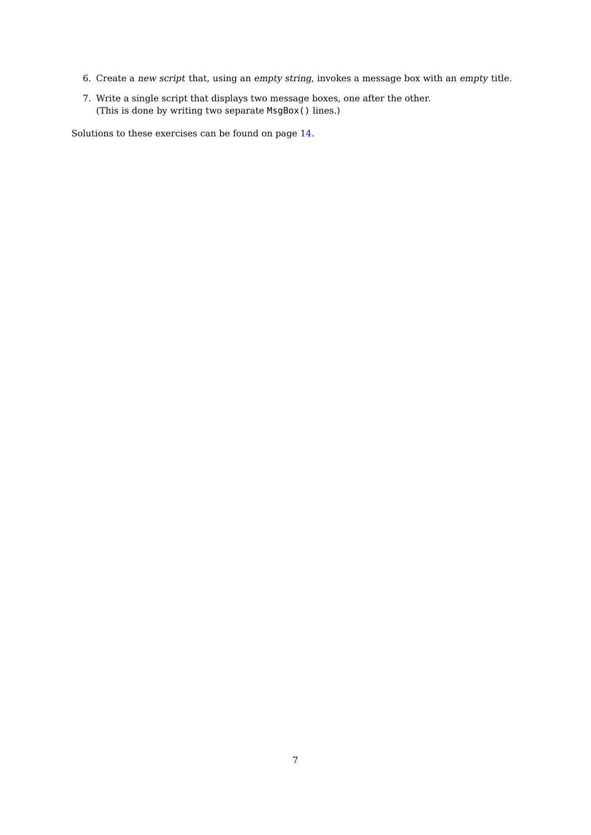- 6. Create a new script that, using an empty string, invokes a message box with an empty title.
- 7. Write a single script that displays two message boxes, one after the other. (This is done by writing two separate MsgBox() lines.)

Solutions to these exercises can be found on page [14.](#page-13-1)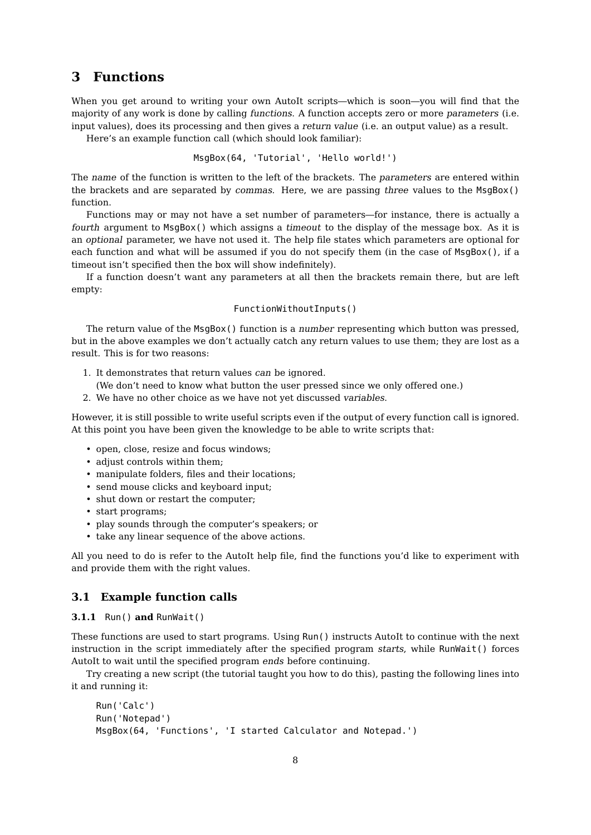# <span id="page-7-0"></span>**3 Functions**

When you get around to writing your own AutoIt scripts—which is soon—you will find that the majority of any work is done by calling functions. A function accepts zero or more parameters (i.e. input values), does its processing and then gives a return value (i.e. an output value) as a result.

Here's an example function call (which should look familiar):

MsgBox(64, 'Tutorial', 'Hello world!')

The name of the function is written to the left of the brackets. The parameters are entered within the brackets and are separated by commas. Here, we are passing three values to the MsgBox() function.

Functions may or may not have a set number of parameters—for instance, there is actually a fourth argument to MsgBox() which assigns a timeout to the display of the message box. As it is an optional parameter, we have not used it. The help file states which parameters are optional for each function and what will be assumed if you do not specify them (in the case of MsgBox(), if a timeout isn't specified then the box will show indefinitely).

If a function doesn't want any parameters at all then the brackets remain there, but are left empty:

#### FunctionWithoutInputs()

The return value of the MsgBox() function is a number representing which button was pressed, but in the above examples we don't actually catch any return values to use them; they are lost as a result. This is for two reasons:

- 1. It demonstrates that return values can be ignored.
	- (We don't need to know what button the user pressed since we only offered one.)
- 2. We have no other choice as we have not yet discussed variables.

However, it is still possible to write useful scripts even if the output of every function call is ignored. At this point you have been given the knowledge to be able to write scripts that:

- open, close, resize and focus windows;
- adjust controls within them;
- manipulate folders, files and their locations;
- send mouse clicks and keyboard input;
- shut down or restart the computer;
- start programs;
- play sounds through the computer's speakers; or
- take any linear sequence of the above actions.

All you need to do is refer to the AutoIt help file, find the functions you'd like to experiment with and provide them with the right values.

### <span id="page-7-1"></span>**3.1 Example function calls**

#### <span id="page-7-2"></span>**3.1.1** Run() **and** RunWait()

These functions are used to start programs. Using Run() instructs AutoIt to continue with the next instruction in the script immediately after the specified program starts, while RunWait() forces AutoIt to wait until the specified program ends before continuing.

Try creating a new script (the tutorial taught you how to do this), pasting the following lines into it and running it:

```
Run('Calc')
Run('Notepad')
MsgBox(64, 'Functions', 'I started Calculator and Notepad.')
```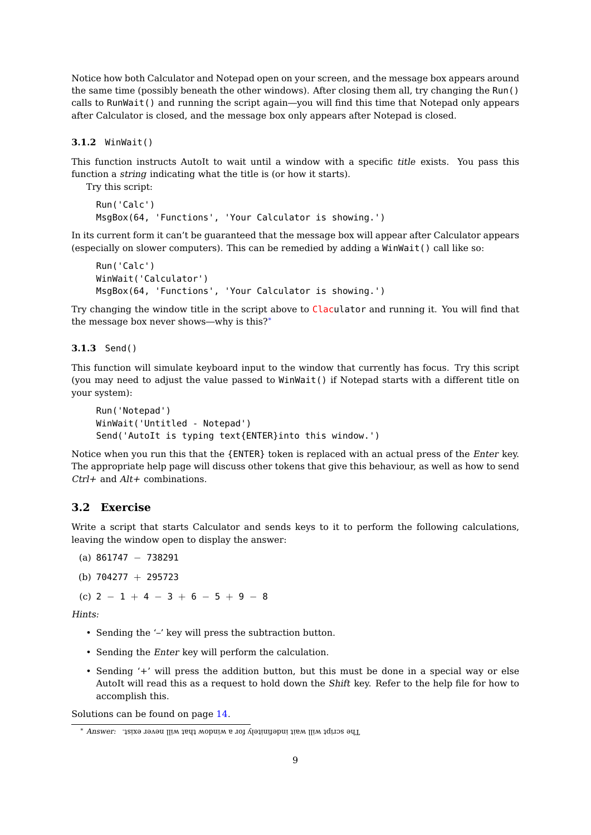Notice how both Calculator and Notepad open on your screen, and the message box appears around the same time (possibly beneath the other windows). After closing them all, try changing the Run() calls to RunWait() and running the script again—you will find this time that Notepad only appears after Calculator is closed, and the message box only appears after Notepad is closed.

<span id="page-8-0"></span>**3.1.2** WinWait()

This function instructs AutoIt to wait until a window with a specific title exists. You pass this function a string indicating what the title is (or how it starts).

Try this script:

```
Run('Calc')
MsgBox(64, 'Functions', 'Your Calculator is showing.')
```
In its current form it can't be guaranteed that the message box will appear after Calculator appears (especially on slower computers). This can be remedied by adding a WinWait() call like so:

```
Run('Calc')
WinWait('Calculator')
MsgBox(64, 'Functions', 'Your Calculator is showing.')
```
Try changing the window title in the script above to Claculator and running it. You will find that the message box never shows—why is this?[∗](#page-8-3)

<span id="page-8-1"></span>**3.1.3** Send()

This function will simulate keyboard input to the window that currently has focus. Try this script (you may need to adjust the value passed to WinWait() if Notepad starts with a different title on your system):

```
Run('Notepad')
WinWait('Untitled - Notepad')
Send('AutoIt is typing text{ENTER}into this window.')
```
Notice when you run this that the {ENTER} token is replaced with an actual press of the Enter key. The appropriate help page will discuss other tokens that give this behaviour, as well as how to send  $Ctrl +$  and  $Alt +$  combinations.

### <span id="page-8-2"></span>**3.2 Exercise**

Write a script that starts Calculator and sends keys to it to perform the following calculations, leaving the window open to display the answer:

(a) 861747 − 738291

```
(b) 704277 + 295723
```
(c)  $2 - 1 + 4 - 3 + 6 - 5 + 9 - 8$ 

Hints:

- Sending the '–' key will press the subtraction button.
- Sending the Enter key will perform the calculation.
- Sending '+' will press the addition button, but this must be done in a special way or else AutoIt will read this as a request to hold down the Shift key. Refer to the help file for how to accomplish this.

Solutions can be found on page [14.](#page-13-2)

<span id="page-8-3"></span><sup>∗</sup> Answer: The script will wait indefinitely for <sup>a</sup> window that will never exist.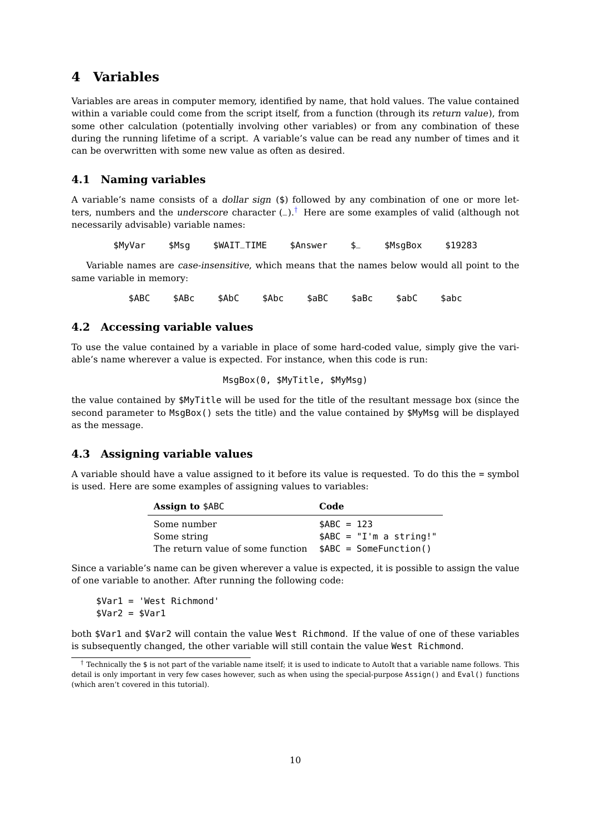# <span id="page-9-0"></span>**4 Variables**

Variables are areas in computer memory, identified by name, that hold values. The value contained within a variable could come from the script itself, from a function (through its return value), from some other calculation (potentially involving other variables) or from any combination of these during the running lifetime of a script. A variable's value can be read any number of times and it can be overwritten with some new value as often as desired.

### <span id="page-9-1"></span>**4.1 Naming variables**

A variable's name consists of a dollar sign (\$) followed by any combination of one or more letters, numbers and the *underscore* character  $(-)$ .<sup>[†](#page-9-4)</sup> Here are some examples of valid (although not necessarily advisable) variable names:

\$MyVar \$Msg \$WAIT\_TIME \$Answer \$\_ \$MsgBox \$19283

Variable names are case-insensitive, which means that the names below would all point to the same variable in memory:

\$ABC \$ABc \$AbC \$Abc \$aBC \$aBc \$abC \$abc

#### <span id="page-9-2"></span>**4.2 Accessing variable values**

To use the value contained by a variable in place of some hard-coded value, simply give the variable's name wherever a value is expected. For instance, when this code is run:

```
MsgBox(0, $MyTitle, $MyMsg)
```
the value contained by \$MyTitle will be used for the title of the resultant message box (since the second parameter to MsgBox() sets the title) and the value contained by \$MyMsg will be displayed as the message.

#### <span id="page-9-3"></span>**4.3 Assigning variable values**

A variable should have a value assigned to it before its value is requested. To do this the = symbol is used. Here are some examples of assigning values to variables:

| <b>Assign to \$ABC</b>            | Code                     |
|-----------------------------------|--------------------------|
| Some number                       | $SABC = 123$             |
| Some string                       | $$ABC = "I'm a string!"$ |
| The return value of some function | $$ABC = SomeFunction()$  |

Since a variable's name can be given wherever a value is expected, it is possible to assign the value of one variable to another. After running the following code:

\$Var1 = 'West Richmond'  $$Var2 = $Var1$ 

both \$Var1 and \$Var2 will contain the value West Richmond. If the value of one of these variables is subsequently changed, the other variable will still contain the value West Richmond.

<span id="page-9-4"></span> $\dagger$  Technically the \$ is not part of the variable name itself; it is used to indicate to AutoIt that a variable name follows. This detail is only important in very few cases however, such as when using the special-purpose Assign() and Eval() functions (which aren't covered in this tutorial).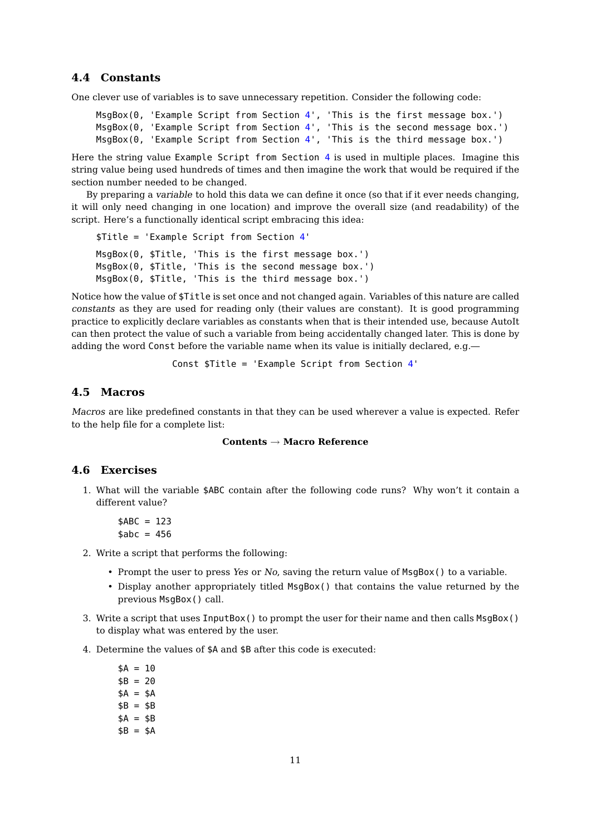### <span id="page-10-0"></span>**4.4 Constants**

One clever use of variables is to save unnecessary repetition. Consider the following code:

```
MsgBox(0, 'Example Script from Section 4', 'This is the first message box.')
MsgBox(0, 'Example Script from Section 4', 'This is the second message box.')
MsgBox(0, 'Example Script from Section 4', 'This is the third message box.')
```
Here the string value Example Script from Section [4](#page-9-0) is used in multiple places. Imagine this string value being used hundreds of times and then imagine the work that would be required if the section number needed to be changed.

By preparing a variable to hold this data we can define it once (so that if it ever needs changing, it will only need changing in one location) and improve the overall size (and readability) of the script. Here's a functionally identical script embracing this idea:

\$Title = 'Example Script from Section [4](#page-9-0)' MsgBox(0, \$Title, 'This is the first message box.') MsgBox(0, \$Title, 'This is the second message box.') MsgBox(0, \$Title, 'This is the third message box.')

Notice how the value of \$Title is set once and not changed again. Variables of this nature are called constants as they are used for reading only (their values are constant). It is good programming practice to explicitly declare variables as constants when that is their intended use, because AutoIt can then protect the value of such a variable from being accidentally changed later. This is done by adding the word Const before the variable name when its value is initially declared, e.g.—

Const \$Title = 'Example Script from Section [4](#page-9-0)'

#### <span id="page-10-1"></span>**4.5 Macros**

Macros are like predefined constants in that they can be used wherever a value is expected. Refer to the help file for a complete list:

#### **Contents** → **Macro Reference**

#### <span id="page-10-2"></span>**4.6 Exercises**

1. What will the variable \$ABC contain after the following code runs? Why won't it contain a different value?

$$
$ABC = 123
$$

$$
$abc = 456
$$

- 2. Write a script that performs the following:
	- Prompt the user to press Yes or No, saving the return value of MsgBox() to a variable.
	- Display another appropriately titled MsgBox() that contains the value returned by the previous MsgBox() call.
- 3. Write a script that uses InputBox() to prompt the user for their name and then calls MsgBox() to display what was entered by the user.
- 4. Determine the values of \$A and \$B after this code is executed:
	- $$A = 10$  $$B = 20$  $SA = SA$  $$B = $B$  $SA = SB$  $$B = $A$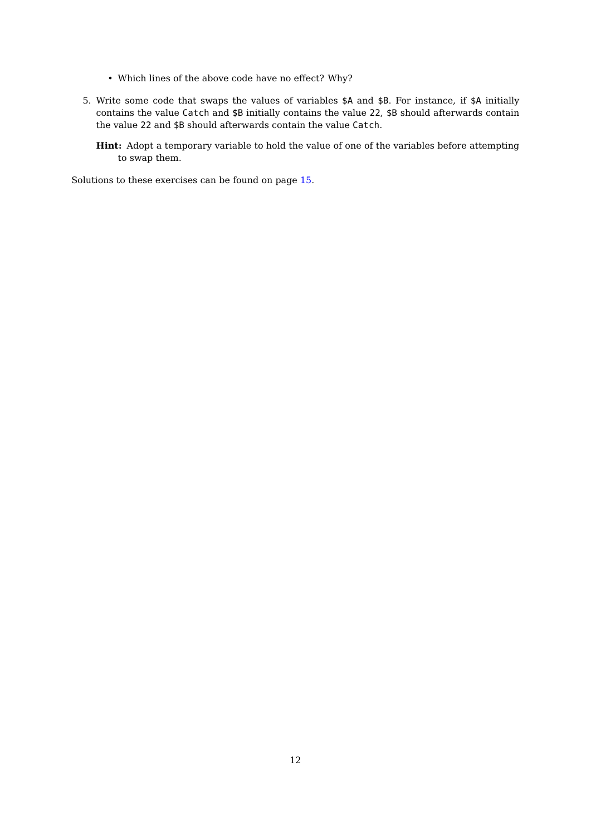- Which lines of the above code have no effect? Why?
- 5. Write some code that swaps the values of variables \$A and \$B. For instance, if \$A initially contains the value Catch and \$B initially contains the value 22, \$B should afterwards contain the value 22 and \$B should afterwards contain the value Catch.
	- **Hint:** Adopt a temporary variable to hold the value of one of the variables before attempting to swap them.

Solutions to these exercises can be found on page [15.](#page-14-0)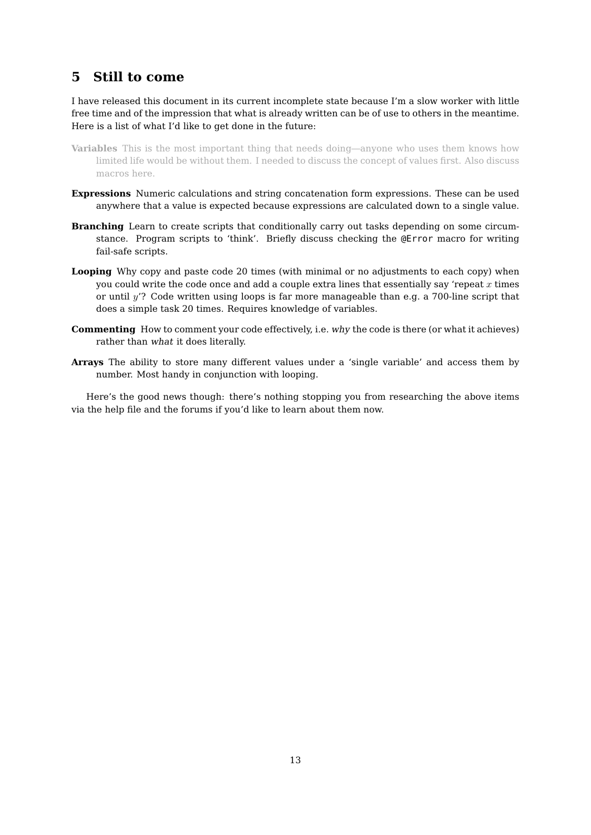# <span id="page-12-0"></span>**5 Still to come**

I have released this document in its current incomplete state because I'm a slow worker with little free time and of the impression that what is already written can be of use to others in the meantime. Here is a list of what I'd like to get done in the future:

- **Variables** This is the most important thing that needs doing—anyone who uses them knows how limited life would be without them. I needed to discuss the concept of values first. Also discuss macros here.
- **Expressions** Numeric calculations and string concatenation form expressions. These can be used anywhere that a value is expected because expressions are calculated down to a single value.
- **Branching** Learn to create scripts that conditionally carry out tasks depending on some circumstance. Program scripts to 'think'. Briefly discuss checking the @Error macro for writing fail-safe scripts.
- **Looping** Why copy and paste code 20 times (with minimal or no adjustments to each copy) when you could write the code once and add a couple extra lines that essentially say 'repeat  $x$  times or until y'? Code written using loops is far more manageable than e.g. a 700-line script that does a simple task 20 times. Requires knowledge of variables.
- **Commenting** How to comment your code effectively, i.e. why the code is there (or what it achieves) rather than what it does literally.
- **Arrays** The ability to store many different values under a 'single variable' and access them by number. Most handy in conjunction with looping.

Here's the good news though: there's nothing stopping you from researching the above items via the help file and the forums if you'd like to learn about them now.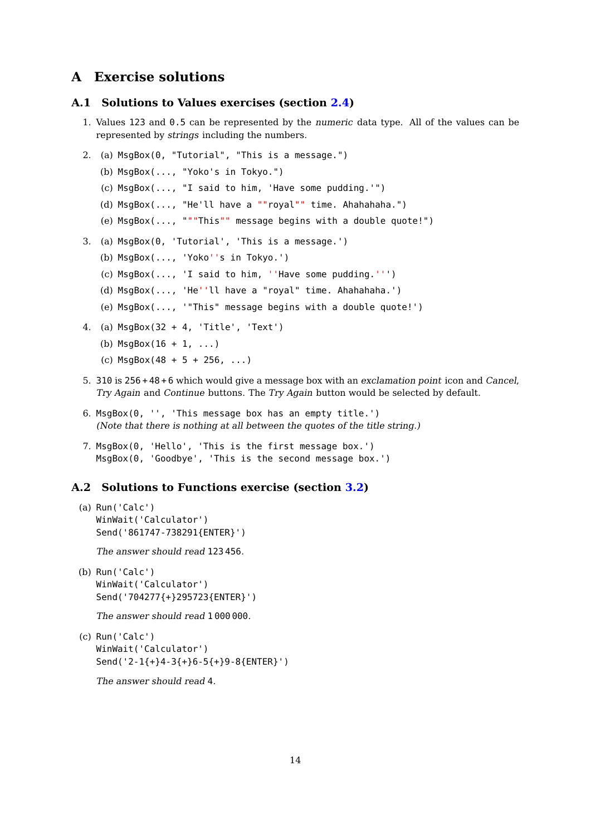# <span id="page-13-0"></span>**A Exercise solutions**

### <span id="page-13-1"></span>**A.1 Solutions to Values exercises (section [2.4\)](#page-5-1)**

- 1. Values 123 and 0.5 can be represented by the numeric data type. All of the values can be represented by strings including the numbers.
- 2. (a) MsgBox(0, "Tutorial", "This is a message.")
	- (b) MsgBox(..., "Yoko's in Tokyo.")
	- (c) MsgBox(..., "I said to him, 'Have some pudding.'")
	- (d) MsgBox(..., "He'll have a ""royal"" time. Ahahahaha.")
	- (e) MsgBox(..., """This"" message begins with a double quote!")
- 3. (a) MsgBox(0, 'Tutorial', 'This is a message.')
	- (b) MsgBox(..., 'Yoko''s in Tokyo.')
	- (c) MsgBox(..., 'I said to him, ''Have some pudding.''')
	- (d) MsgBox(..., 'He''ll have a "royal" time. Ahahahaha.')
	- (e) MsgBox(..., '"This" message begins with a double quote!')
- 4. (a) MsgBox(32 + 4, 'Title', 'Text')
	- (b)  $MsgBox(16 + 1, ...)$
	- (c)  $MsgBox(48 + 5 + 256, ...)$
- 5. 310 is 256 + 48 + 6 which would give a message box with an exclamation point icon and Cancel, Try Again and Continue buttons. The Try Again button would be selected by default.
- 6. MsgBox(0, '', 'This message box has an empty title.') (Note that there is nothing at all between the quotes of the title string.)
- 7. MsgBox(0, 'Hello', 'This is the first message box.') MsgBox(0, 'Goodbye', 'This is the second message box.')

#### <span id="page-13-2"></span>**A.2 Solutions to Functions exercise (section [3.2\)](#page-8-2)**

(a) Run('Calc') WinWait('Calculator') Send('861747-738291{ENTER}')

The answer should read 123 456.

(b) Run('Calc') WinWait('Calculator') Send('704277{+}295723{ENTER}')

The answer should read 1 000 000.

(c) Run('Calc') WinWait('Calculator') Send('2-1{+}4-3{+}6-5{+}9-8{ENTER}')

The answer should read 4.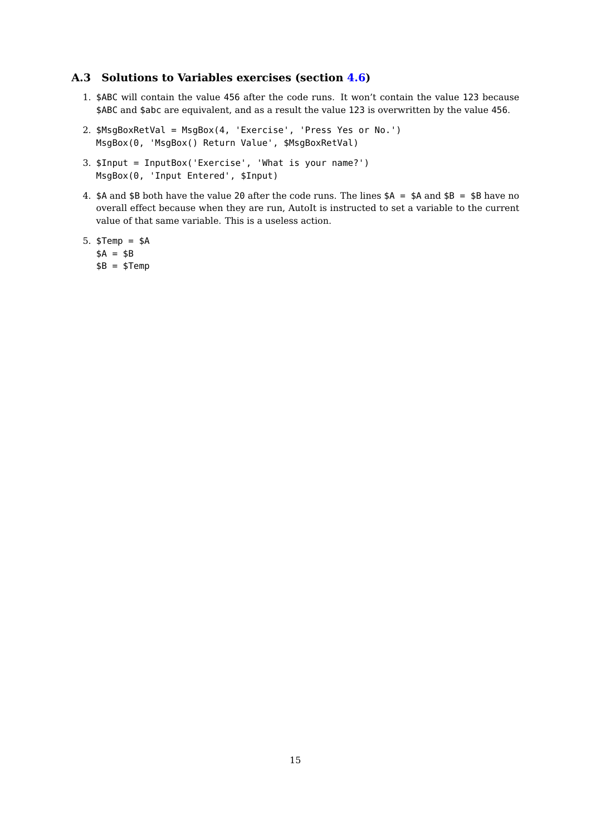### <span id="page-14-0"></span>**A.3 Solutions to Variables exercises (section [4.6\)](#page-10-2)**

- 1. \$ABC will contain the value 456 after the code runs. It won't contain the value 123 because \$ABC and \$abc are equivalent, and as a result the value 123 is overwritten by the value 456.
- 2. \$MsgBoxRetVal = MsgBox(4, 'Exercise', 'Press Yes or No.') MsgBox(0, 'MsgBox() Return Value', \$MsgBoxRetVal)
- 3. \$Input = InputBox('Exercise', 'What is your name?') MsgBox(0, 'Input Entered', \$Input)
- 4.  $$A$  and  $$B$  both have the value 20 after the code runs. The lines  $$A = $A$$  and  $$B = $B$$  have no overall effect because when they are run, AutoIt is instructed to set a variable to the current value of that same variable. This is a useless action.
- 5. \$Temp = \$A  $$A = $B$$  $$B = $Temp$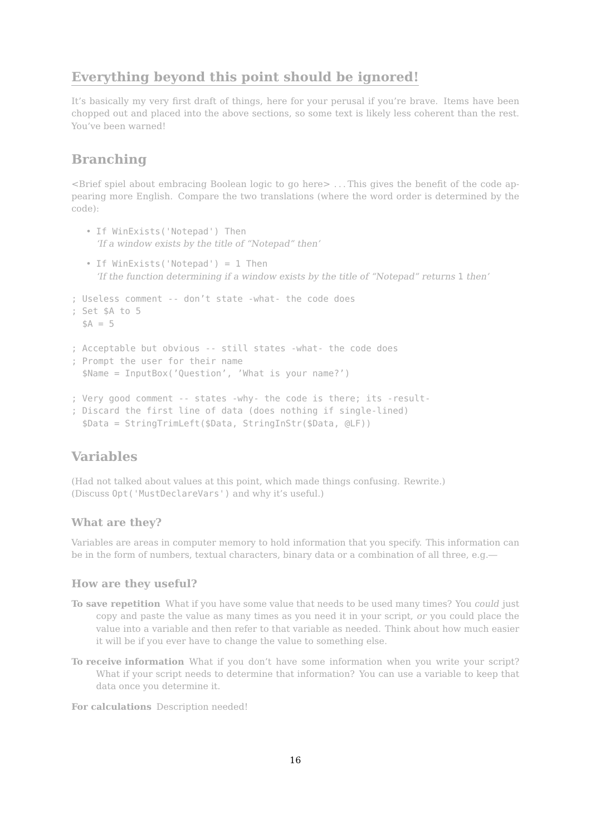# **Everything beyond this point should be ignored!**

It's basically my very first draft of things, here for your perusal if you're brave. Items have been chopped out and placed into the above sections, so some text is likely less coherent than the rest. You've been warned!

# **Branching**

<Brief spiel about embracing Boolean logic to go here> . . . This gives the benefit of the code appearing more English. Compare the two translations (where the word order is determined by the code):

- If WinExists('Notepad') Then 'If a window exists by the title of "Notepad" then'
- If WinExists('Notepad') = 1 Then 'If the function determining if a window exists by the title of "Notepad" returns 1 then'

```
; Useless comment -- don't state -what- the code does
; Set $A to 5
 SA = 5; Acceptable but obvious -- still states -what- the code does
; Prompt the user for their name
 $Name = InputBox('Question', 'What is your name?')
; Very good comment -- states -why- the code is there; its -result-
; Discard the first line of data (does nothing if single-lined)
 $Data = StringTrimLeft($Data, StringInStr($Data, @LF))
```
# **Variables**

(Had not talked about values at this point, which made things confusing. Rewrite.) (Discuss Opt('MustDeclareVars') and why it's useful.)

#### **What are they?**

Variables are areas in computer memory to hold information that you specify. This information can be in the form of numbers, textual characters, binary data or a combination of all three, e.g.—

### **How are they useful?**

- **To save repetition** What if you have some value that needs to be used many times? You could just copy and paste the value as many times as you need it in your script, or you could place the value into a variable and then refer to that variable as needed. Think about how much easier it will be if you ever have to change the value to something else.
- **To receive information** What if you don't have some information when you write your script? What if your script needs to determine that information? You can use a variable to keep that data once you determine it.

**For calculations** Description needed!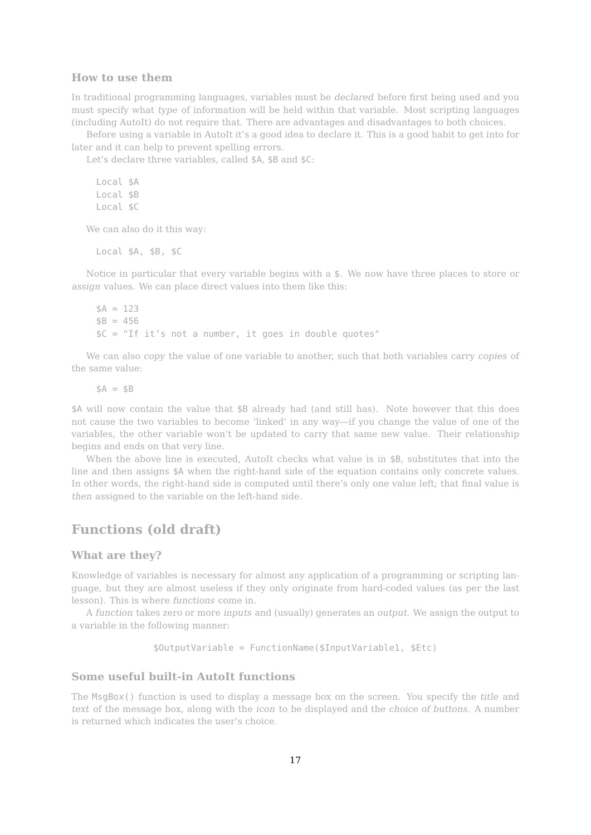#### **How to use them**

In traditional programming languages, variables must be declared before first being used and you must specify what type of information will be held within that variable. Most scripting languages (including AutoIt) do not require that. There are advantages and disadvantages to both choices.

Before using a variable in AutoIt it's a good idea to declare it. This is a good habit to get into for later and it can help to prevent spelling errors.

Let's declare three variables, called \$A, \$B and \$C:

Local \$A Local \$B Local \$C

We can also do it this way:

Local \$A, \$B, \$C

Notice in particular that every variable begins with a \$. We now have three places to store or assign values. We can place direct values into them like this:

```
SA = 123$B = 456$C = "If it's not a number, it goes in double quotes"
```
We can also *copy* the value of one variable to another, such that both variables carry *copies* of the same value:

 $$A = $B$ 

\$A will now contain the value that \$B already had (and still has). Note however that this does not cause the two variables to become 'linked' in any way—if you change the value of one of the variables, the other variable won't be updated to carry that same new value. Their relationship begins and ends on that very line.

When the above line is executed, AutoIt checks what value is in \$B, substitutes that into the line and then assigns \$A when the right-hand side of the equation contains only concrete values. In other words, the right-hand side is computed until there's only one value left; that final value is then assigned to the variable on the left-hand side.

# **Functions (old draft)**

#### **What are they?**

Knowledge of variables is necessary for almost any application of a programming or scripting language, but they are almost useless if they only originate from hard-coded values (as per the last lesson). This is where functions come in.

A function takes zero or more inputs and (usually) generates an output. We assign the output to a variable in the following manner:

\$OutputVariable = FunctionName(\$InputVariable1, \$Etc)

### **Some useful built-in AutoIt functions**

The MsgBox() function is used to display a message box on the screen. You specify the title and text of the message box, along with the icon to be displayed and the choice of buttons. A number is returned which indicates the user's choice.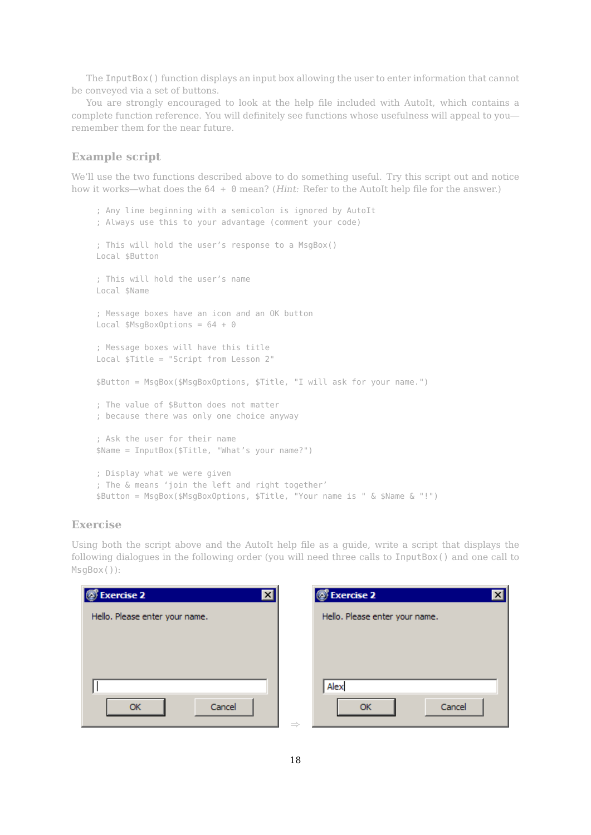The InputBox() function displays an input box allowing the user to enter information that cannot be conveyed via a set of buttons.

You are strongly encouraged to look at the help file included with AutoIt, which contains a complete function reference. You will definitely see functions whose usefulness will appeal to you remember them for the near future.

### **Example script**

We'll use the two functions described above to do something useful. Try this script out and notice how it works—what does the 64 + 0 mean? (*Hint: Refer to the AutoIt help file for the answer.*)

```
; Any line beginning with a semicolon is ignored by AutoIt
; Always use this to your advantage (comment your code)
; This will hold the user's response to a MsgBox()
Local $Button
; This will hold the user's name
Local $Name
; Message boxes have an icon and an OK button
Local $MsgBoxOptions = 64 + 0; Message boxes will have this title
Local $Title = "Script from Lesson 2"
$Button = MsgBox($MsgBoxOptions, $Title, "I will ask for your name.")
; The value of $Button does not matter
; because there was only one choice anyway
; Ask the user for their name
$Name = InputBox($Title, "What's your name?")
; Display what we were given
; The & means 'join the left and right together'
$Button = MsgBox($MsgBoxOptions, $Title, "Your name is " & $Name & "!")
```
#### **Exercise**

Using both the script above and the AutoIt help file as a guide, write a script that displays the following dialogues in the following order (you will need three calls to InputBox() and one call to MsgBox()):

| <b>Exercise 2</b><br>ß<br>$\vert x \vert$ | <b>S</b> Exercise 2            |
|-------------------------------------------|--------------------------------|
| Hello. Please enter your name.            | Hello. Please enter your name. |
|                                           |                                |
|                                           |                                |
|                                           | Alex                           |
|                                           |                                |
| Cancel<br>ОК                              | Cancel<br>Ωk<br>$\rightarrow$  |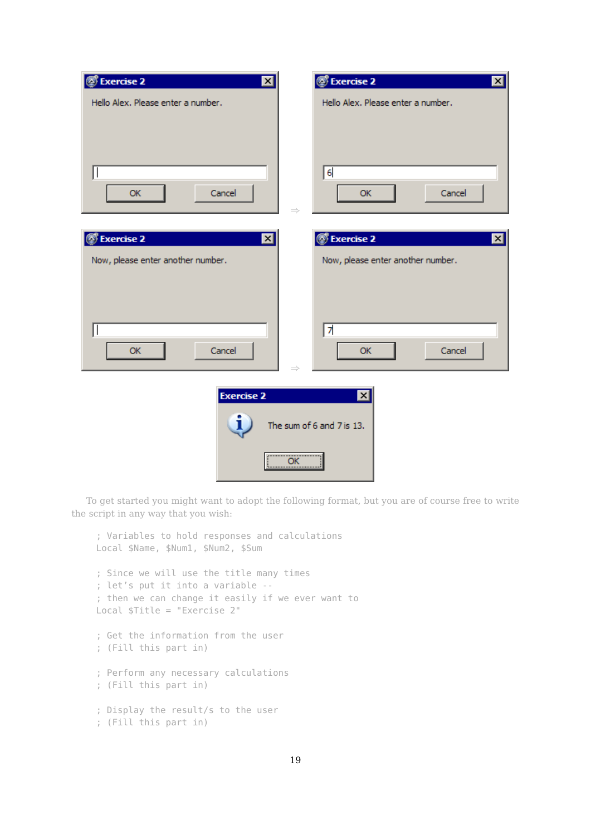| $\sqrt[3]{2}$ Exercise 2<br>$\mathbf{z}$                                                               | <b><i>S</i></b> Exercise 2<br>$\mathbf{x}$       |  |  |  |
|--------------------------------------------------------------------------------------------------------|--------------------------------------------------|--|--|--|
| Hello Alex. Please enter a number.                                                                     | Hello Alex. Please enter a number.               |  |  |  |
| Cancel<br>OK                                                                                           | $6\phantom{1}6$<br>Cancel<br>OK                  |  |  |  |
| S Exercise 2<br>$\mathbf{z}$                                                                           | <b>S</b> Exercise 2<br>$\mathbf{x}$ $\mathbf{r}$ |  |  |  |
| Now, please enter another number.                                                                      | Now, please enter another number.                |  |  |  |
| Cancel<br>OK                                                                                           | 7<br>Cancel<br><b>OK</b><br>$\Rightarrow$        |  |  |  |
| <b>Exercise 2</b><br>⊠<br>L<br>The sum of 6 and 7 is 13.<br>,,,,,,,,,,,,,,,,,,,,,,,,,,,,,,,,<br>ОК<br> |                                                  |  |  |  |

To get started you might want to adopt the following format, but you are of course free to write the script in any way that you wish:

```
; Variables to hold responses and calculations
Local $Name, $Num1, $Num2, $Sum
; Since we will use the title many times
; let's put it into a variable --
; then we can change it easily if we ever want to
Local $Title = "Exercise 2"
; Get the information from the user
; (Fill this part in)
; Perform any necessary calculations
; (Fill this part in)
; Display the result/s to the user
; (Fill this part in)
```